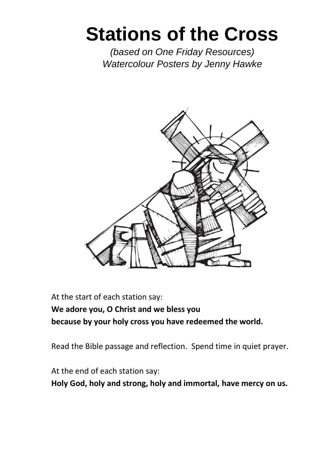# **Stations of the Cross**

*(based on One Friday Resources) Watercolour Posters by Jenny Hawke*



At the start of each station say:

**We adore you, O Christ and we bless you because by your holy cross you have redeemed the world.**

Read the Bible passage and reflection. Spend time in quiet prayer.

At the end of each station say:

**Holy God, holy and strong, holy and immortal, have mercy on us.**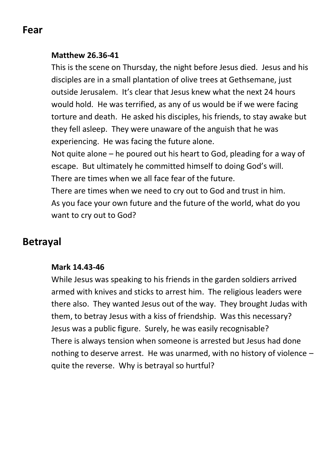## **Fear**

#### **Matthew 26.36-41**

This is the scene on Thursday, the night before Jesus died. Jesus and his disciples are in a small plantation of olive trees at Gethsemane, just outside Jerusalem. It's clear that Jesus knew what the next 24 hours would hold. He was terrified, as any of us would be if we were facing torture and death. He asked his disciples, his friends, to stay awake but they fell asleep. They were unaware of the anguish that he was experiencing. He was facing the future alone.

Not quite alone – he poured out his heart to God, pleading for a way of escape. But ultimately he committed himself to doing God's will. There are times when we all face fear of the future.

There are times when we need to cry out to God and trust in him. As you face your own future and the future of the world, what do you want to cry out to God?

# **Betrayal**

#### **Mark 14.43-46**

While Jesus was speaking to his friends in the garden soldiers arrived armed with knives and sticks to arrest him. The religious leaders were there also. They wanted Jesus out of the way. They brought Judas with them, to betray Jesus with a kiss of friendship. Was this necessary? Jesus was a public figure. Surely, he was easily recognisable? There is always tension when someone is arrested but Jesus had done nothing to deserve arrest. He was unarmed, with no history of violence – quite the reverse. Why is betrayal so hurtful?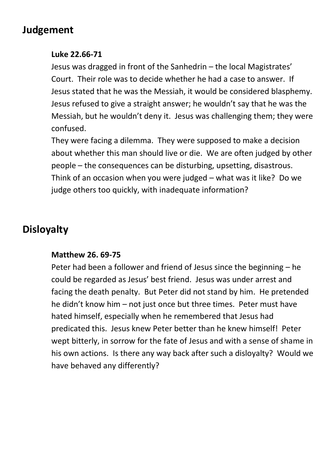# **Judgement**

#### **Luke 22.66-71**

Jesus was dragged in front of the Sanhedrin – the local Magistrates' Court. Their role was to decide whether he had a case to answer. If Jesus stated that he was the Messiah, it would be considered blasphemy. Jesus refused to give a straight answer; he wouldn't say that he was the Messiah, but he wouldn't deny it. Jesus was challenging them; they were confused.

They were facing a dilemma. They were supposed to make a decision about whether this man should live or die. We are often judged by other people – the consequences can be disturbing, upsetting, disastrous. Think of an occasion when you were judged – what was it like? Do we judge others too quickly, with inadequate information?

# **Disloyalty**

#### **Matthew 26. 69-75**

Peter had been a follower and friend of Jesus since the beginning – he could be regarded as Jesus' best friend. Jesus was under arrest and facing the death penalty. But Peter did not stand by him. He pretended he didn't know him – not just once but three times. Peter must have hated himself, especially when he remembered that Jesus had predicated this. Jesus knew Peter better than he knew himself! Peter wept bitterly, in sorrow for the fate of Jesus and with a sense of shame in his own actions. Is there any way back after such a disloyalty? Would we have behaved any differently?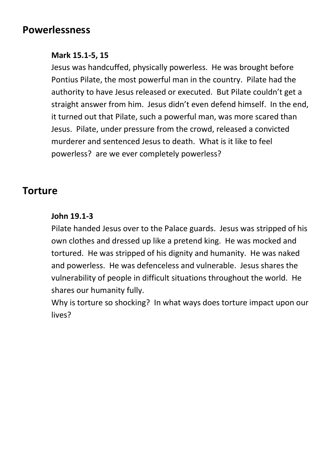## **Powerlessness**

#### **Mark 15.1-5, 15**

Jesus was handcuffed, physically powerless. He was brought before Pontius Pilate, the most powerful man in the country. Pilate had the authority to have Jesus released or executed. But Pilate couldn't get a straight answer from him. Jesus didn't even defend himself. In the end, it turned out that Pilate, such a powerful man, was more scared than Jesus. Pilate, under pressure from the crowd, released a convicted murderer and sentenced Jesus to death. What is it like to feel powerless? are we ever completely powerless?

## **Torture**

#### **John 19.1-3**

Pilate handed Jesus over to the Palace guards. Jesus was stripped of his own clothes and dressed up like a pretend king. He was mocked and tortured. He was stripped of his dignity and humanity. He was naked and powerless. He was defenceless and vulnerable. Jesus shares the vulnerability of people in difficult situations throughout the world. He shares our humanity fully.

Why is torture so shocking? In what ways does torture impact upon our lives?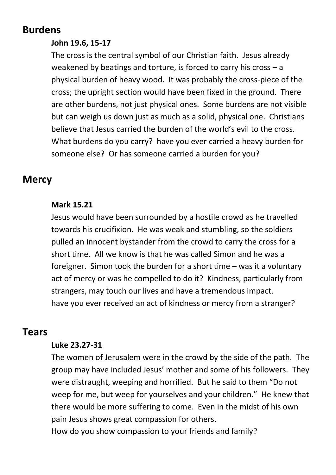## **Burdens**

### **John 19.6, 15-17**

The cross is the central symbol of our Christian faith. Jesus already weakened by beatings and torture, is forced to carry his cross – a physical burden of heavy wood. It was probably the cross-piece of the cross; the upright section would have been fixed in the ground. There are other burdens, not just physical ones. Some burdens are not visible but can weigh us down just as much as a solid, physical one. Christians believe that Jesus carried the burden of the world's evil to the cross. What burdens do you carry? have you ever carried a heavy burden for someone else? Or has someone carried a burden for you?

## **Mercy**

#### **Mark 15.21**

Jesus would have been surrounded by a hostile crowd as he travelled towards his crucifixion. He was weak and stumbling, so the soldiers pulled an innocent bystander from the crowd to carry the cross for a short time. All we know is that he was called Simon and he was a foreigner. Simon took the burden for a short time – was it a voluntary act of mercy or was he compelled to do it? Kindness, particularly from strangers, may touch our lives and have a tremendous impact. have you ever received an act of kindness or mercy from a stranger?

## **Tears**

#### **Luke 23.27-31**

The women of Jerusalem were in the crowd by the side of the path. The group may have included Jesus' mother and some of his followers. They were distraught, weeping and horrified. But he said to them "Do not weep for me, but weep for yourselves and your children." He knew that there would be more suffering to come. Even in the midst of his own pain Jesus shows great compassion for others.

How do you show compassion to your friends and family?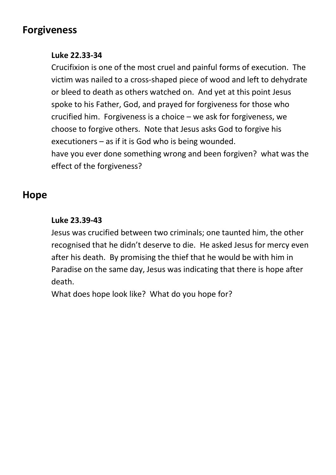# **Forgiveness**

#### **Luke 22.33-34**

Crucifixion is one of the most cruel and painful forms of execution. The victim was nailed to a cross-shaped piece of wood and left to dehydrate or bleed to death as others watched on. And yet at this point Jesus spoke to his Father, God, and prayed for forgiveness for those who crucified him. Forgiveness is a choice – we ask for forgiveness, we choose to forgive others. Note that Jesus asks God to forgive his executioners – as if it is God who is being wounded.

have you ever done something wrong and been forgiven? what was the effect of the forgiveness?

# **Hope**

#### **Luke 23.39-43**

Jesus was crucified between two criminals; one taunted him, the other recognised that he didn't deserve to die. He asked Jesus for mercy even after his death. By promising the thief that he would be with him in Paradise on the same day, Jesus was indicating that there is hope after death.

What does hope look like? What do you hope for?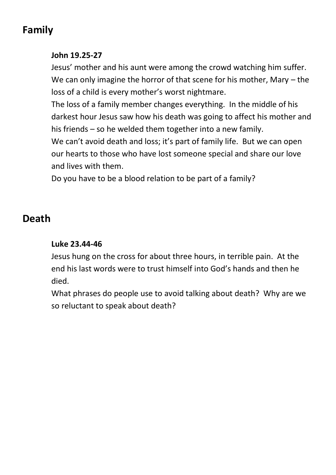# **Family**

#### **John 19.25-27**

Jesus' mother and his aunt were among the crowd watching him suffer. We can only imagine the horror of that scene for his mother, Mary – the loss of a child is every mother's worst nightmare.

The loss of a family member changes everything. In the middle of his darkest hour Jesus saw how his death was going to affect his mother and his friends – so he welded them together into a new family.

We can't avoid death and loss; it's part of family life. But we can open our hearts to those who have lost someone special and share our love and lives with them.

Do you have to be a blood relation to be part of a family?

# **Death**

#### **Luke 23.44-46**

Jesus hung on the cross for about three hours, in terrible pain. At the end his last words were to trust himself into God's hands and then he died.

What phrases do people use to avoid talking about death? Why are we so reluctant to speak about death?